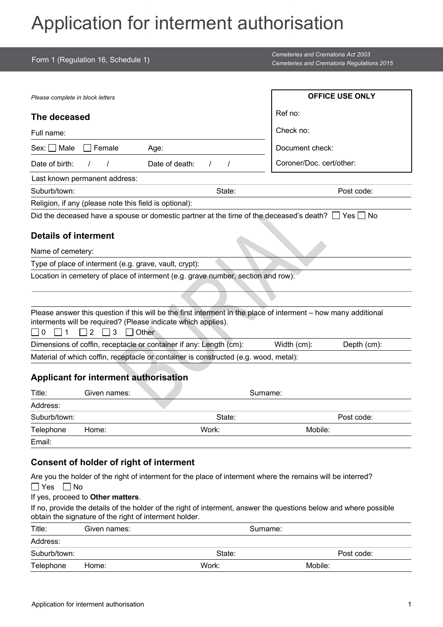## Application for interment authorisation

| Form 1 (Regulation 16, Schedule 1)                                                                                                                                                                              |                      | <b>Cemeteries and Crematoria Act 2003</b><br>Cemeteries and Crematoria Regulations 2015 |  |
|-----------------------------------------------------------------------------------------------------------------------------------------------------------------------------------------------------------------|----------------------|-----------------------------------------------------------------------------------------|--|
|                                                                                                                                                                                                                 |                      |                                                                                         |  |
| Please complete in block letters                                                                                                                                                                                |                      | <b>OFFICE USE ONLY</b>                                                                  |  |
| The deceased                                                                                                                                                                                                    |                      | Ref no:                                                                                 |  |
| Full name:                                                                                                                                                                                                      |                      | Check no:                                                                               |  |
| Sex: <b>□</b> Male<br>Female<br>Age:                                                                                                                                                                            |                      | Document check:                                                                         |  |
| Date of birth:<br>Date of death:                                                                                                                                                                                | $\prime$<br>$\prime$ | Coroner/Doc. cert/other:                                                                |  |
| Last known permanent address:                                                                                                                                                                                   |                      |                                                                                         |  |
| Suburb/town:                                                                                                                                                                                                    | State:               | Post code:                                                                              |  |
| Religion, if any (please note this field is optional):                                                                                                                                                          |                      |                                                                                         |  |
| Did the deceased have a spouse or domestic partner at the time of the deceased's death? $\Box$ Yes $\Box$ No                                                                                                    |                      |                                                                                         |  |
| <b>Details of interment</b>                                                                                                                                                                                     |                      |                                                                                         |  |
|                                                                                                                                                                                                                 |                      |                                                                                         |  |
| Name of cemetery:                                                                                                                                                                                               |                      |                                                                                         |  |
| Type of place of interment (e.g. grave, vault, crypt):                                                                                                                                                          |                      |                                                                                         |  |
| Location in cemetery of place of interment (e.g. grave number, section and row):                                                                                                                                |                      |                                                                                         |  |
|                                                                                                                                                                                                                 |                      |                                                                                         |  |
| Please answer this question if this will be the first interment in the place of interment - how many additional<br>interments will be required? (Please indicate which applies).<br>$\Omega$<br>2<br>3<br>Other |                      |                                                                                         |  |
| Dimensions of coffin, receptacle or container if any: Length (cm):                                                                                                                                              |                      | Width (cm):<br>Depth (cm):                                                              |  |
| Material of which coffin, receptacle or container is constructed (e.g. wood, metal):                                                                                                                            |                      |                                                                                         |  |
| <b>Applicant for interment authorisation</b>                                                                                                                                                                    |                      |                                                                                         |  |
| Title:<br>Given names:                                                                                                                                                                                          | Surname:             |                                                                                         |  |
| Address:                                                                                                                                                                                                        |                      |                                                                                         |  |
| Suburb/town:                                                                                                                                                                                                    | State:               | Post code:                                                                              |  |
| Telephone<br>Home:                                                                                                                                                                                              | Work:                | Mobile:                                                                                 |  |
| Email:                                                                                                                                                                                                          |                      |                                                                                         |  |
| <b>Consent of holder of right of interment</b>                                                                                                                                                                  |                      |                                                                                         |  |
| Are you the holder of the right of interment for the place of interment where the remains will be interred?<br>$\Box$ No<br>   Yes                                                                              |                      |                                                                                         |  |
| If yes, proceed to Other matters.                                                                                                                                                                               |                      |                                                                                         |  |
| If no, provide the details of the holder of the right of interment, answer the questions below and where possible<br>obtain the signature of the right of interment holder.                                     |                      |                                                                                         |  |
| Title:<br>Given names:                                                                                                                                                                                          | Surname:             |                                                                                         |  |
| Address:                                                                                                                                                                                                        |                      |                                                                                         |  |